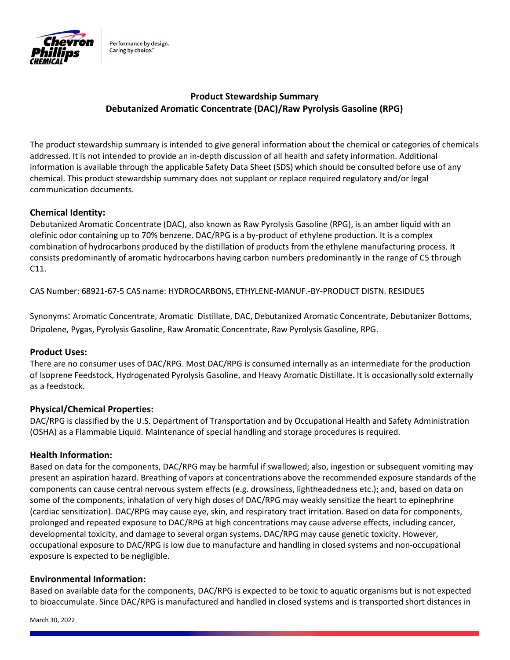

Performance by design. Caring by choice."

# Product Stewardship Summary Debutanized Aromatic Concentrate (DAC)/Raw Pyrolysis Gasoline (RPG)

The product stewardship summary is intended to give general information about the chemical or categories of chemicals addressed. It is not intended to provide an in-depth discussion of all health and safety information. Additional information is available through the applicable Safety Data Sheet (SDS) which should be consulted before use of any chemical. This product stewardship summary does not supplant or replace required regulatory and/or legal communication documents.

### Chemical Identity:

Debutanized Aromatic Concentrate (DAC), also known as Raw Pyrolysis Gasoline (RPG), is an amber liquid with an olefinic odor containing up to 70% benzene. DAC/RPG is a by-product of ethylene production. It is a complex combination of hydrocarbons produced by the distillation of products from the ethylene manufacturing process. It consists predominantly of aromatic hydrocarbons having carbon numbers predominantly in the range of C5 through C11.

CAS Number: 68921-67-5 CAS name: HYDROCARBONS, ETHYLENE-MANUF.-BY-PRODUCT DISTN. RESIDUES

Synonyms: Aromatic Concentrate, Aromatic Distillate, DAC, Debutanized Aromatic Concentrate, Debutanizer Bottoms, Dripolene, Pygas, Pyrolysis Gasoline, Raw Aromatic Concentrate, Raw Pyrolysis Gasoline, RPG.

### Product Uses:

There are no consumer uses of DAC/RPG. Most DAC/RPG is consumed internally as an intermediate for the production of Isoprene Feedstock, Hydrogenated Pyrolysis Gasoline, and Heavy Aromatic Distillate. It is occasionally sold externally as a feedstock.

#### Physical/Chemical Properties:

DAC/RPG is classified by the U.S. Department of Transportation and by Occupational Health and Safety Administration (OSHA) as a Flammable Liquid. Maintenance of special handling and storage procedures is required.

#### Health Information:

Based on data for the components, DAC/RPG may be harmful if swallowed; also, ingestion or subsequent vomiting may present an aspiration hazard. Breathing of vapors at concentrations above the recommended exposure standards of the components can cause central nervous system effects (e.g. drowsiness, lightheadedness etc.); and, based on data on some of the components, inhalation of very high doses of DAC/RPG may weakly sensitize the heart to epinephrine (cardiac sensitization). DAC/RPG may cause eye, skin, and respiratory tract irritation. Based on data for components, prolonged and repeated exposure to DAC/RPG at high concentrations may cause adverse effects, including cancer, developmental toxicity, and damage to several organ systems. DAC/RPG may cause genetic toxicity. However, occupational exposure to DAC/RPG is low due to manufacture and handling in closed systems and non-occupational exposure is expected to be negligible.

### Environmental Information:

Based on available data for the components, DAC/RPG is expected to be toxic to aquatic organisms but is not expected to bioaccumulate. Since DAC/RPG is manufactured and handled in closed systems and is transported short distances in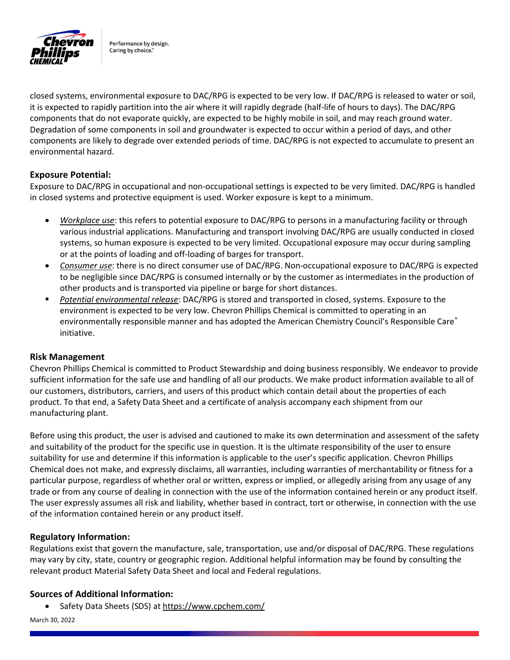

Performance by design. Caring by choice."

closed systems, environmental exposure to DAC/RPG is expected to be very low. If DAC/RPG is released to water or soil, it is expected to rapidly partition into the air where it will rapidly degrade (half-life of hours to days). The DAC/RPG components that do not evaporate quickly, are expected to be highly mobile in soil, and may reach ground water. Degradation of some components in soil and groundwater is expected to occur within a period of days, and other components are likely to degrade over extended periods of time. DAC/RPG is not expected to accumulate to present an environmental hazard.

### Exposure Potential:

Exposure to DAC/RPG in occupational and non-occupational settings is expected to be very limited. DAC/RPG is handled in closed systems and protective equipment is used. Worker exposure is kept to a minimum.

- Workplace use: this refers to potential exposure to DAC/RPG to persons in a manufacturing facility or through various industrial applications. Manufacturing and transport involving DAC/RPG are usually conducted in closed systems, so human exposure is expected to be very limited. Occupational exposure may occur during sampling or at the points of loading and off-loading of barges for transport.
- Consumer use: there is no direct consumer use of DAC/RPG. Non-occupational exposure to DAC/RPG is expected to be negligible since DAC/RPG is consumed internally or by the customer as intermediates in the production of other products and is transported via pipeline or barge for short distances.
- Potential environmental release: DAC/RPG is stored and transported in closed, systems. Exposure to the environment is expected to be very low. Chevron Phillips Chemical is committed to operating in an environmentally responsible manner and has adopted the American Chemistry Council's Responsible Care® initiative.

#### Risk Management

Chevron Phillips Chemical is committed to Product Stewardship and doing business responsibly. We endeavor to provide sufficient information for the safe use and handling of all our products. We make product information available to all of our customers, distributors, carriers, and users of this product which contain detail about the properties of each product. To that end, a Safety Data Sheet and a certificate of analysis accompany each shipment from our manufacturing plant.

Before using this product, the user is advised and cautioned to make its own determination and assessment of the safety and suitability of the product for the specific use in question. It is the ultimate responsibility of the user to ensure suitability for use and determine if this information is applicable to the user's specific application. Chevron Phillips Chemical does not make, and expressly disclaims, all warranties, including warranties of merchantability or fitness for a particular purpose, regardless of whether oral or written, express or implied, or allegedly arising from any usage of any trade or from any course of dealing in connection with the use of the information contained herein or any product itself. The user expressly assumes all risk and liability, whether based in contract, tort or otherwise, in connection with the use of the information contained herein or any product itself.

#### Regulatory Information:

Regulations exist that govern the manufacture, sale, transportation, use and/or disposal of DAC/RPG. These regulations may vary by city, state, country or geographic region. Additional helpful information may be found by consulting the relevant product Material Safety Data Sheet and local and Federal regulations.

### Sources of Additional Information:

Safety Data Sheets (SDS) at https://www.cpchem.com/

March 30, 2022